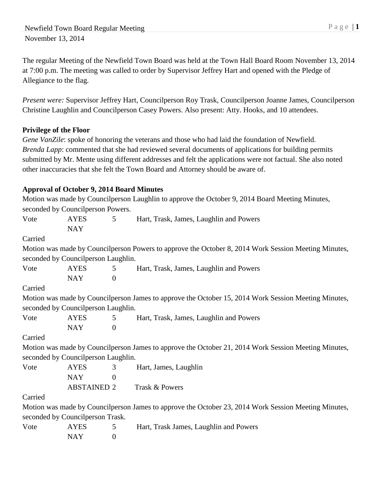The regular Meeting of the Newfield Town Board was held at the Town Hall Board Room November 13, 2014 at 7:00 p.m. The meeting was called to order by Supervisor Jeffrey Hart and opened with the Pledge of Allegiance to the flag.

*Present were:* Supervisor Jeffrey Hart, Councilperson Roy Trask, Councilperson Joanne James, Councilperson Christine Laughlin and Councilperson Casey Powers. Also present: Atty. Hooks, and 10 attendees.

# **Privilege of the Floor**

*Gene VanZile*: spoke of honoring the veterans and those who had laid the foundation of Newfield. *Brenda Lapp*: commented that she had reviewed several documents of applications for building permits submitted by Mr. Mente using different addresses and felt the applications were not factual. She also noted other inaccuracies that she felt the Town Board and Attorney should be aware of.

# **Approval of October 9, 2014 Board Minutes**

|         |                                     |              | Motion was made by Councilperson Laughlin to approve the October 9, 2014 Board Meeting Minutes,      |
|---------|-------------------------------------|--------------|------------------------------------------------------------------------------------------------------|
|         | seconded by Councilperson Powers.   |              |                                                                                                      |
| Vote    | <b>AYES</b><br><b>NAY</b>           | 5            | Hart, Trask, James, Laughlin and Powers                                                              |
| Carried |                                     |              |                                                                                                      |
|         |                                     |              |                                                                                                      |
|         |                                     |              | Motion was made by Councilperson Powers to approve the October 8, 2014 Work Session Meeting Minutes, |
|         | seconded by Councilperson Laughlin. |              |                                                                                                      |
| Vote    | <b>AYES</b>                         | $5^{\circ}$  | Hart, Trask, James, Laughlin and Powers                                                              |
|         | <b>NAY</b>                          | $\Omega$     |                                                                                                      |
| Carried |                                     |              |                                                                                                      |
|         | seconded by Councilperson Laughlin. |              | Motion was made by Councilperson James to approve the October 15, 2014 Work Session Meeting Minutes, |
| Vote    | <b>AYES</b>                         | 5            | Hart, Trask, James, Laughlin and Powers                                                              |
|         | <b>NAY</b>                          | $\Omega$     |                                                                                                      |
| Carried |                                     |              |                                                                                                      |
|         |                                     |              | Motion was made by Councilperson James to approve the October 21, 2014 Work Session Meeting Minutes, |
|         | seconded by Councilperson Laughlin. |              |                                                                                                      |
| Vote    | <b>AYES</b>                         | 3            | Hart, James, Laughlin                                                                                |
|         | <b>NAY</b>                          | $\Omega$     |                                                                                                      |
|         | <b>ABSTAINED 2</b>                  |              | Trask & Powers                                                                                       |
| Carried |                                     |              |                                                                                                      |
|         |                                     |              | Motion was made by Councilperson James to approve the October 23, 2014 Work Session Meeting Minutes, |
|         | seconded by Councilperson Trask.    |              |                                                                                                      |
| Vote    | <b>AYES</b>                         | 5            | Hart, Trask James, Laughlin and Powers                                                               |
|         | <b>NAY</b>                          | $\mathbf{0}$ |                                                                                                      |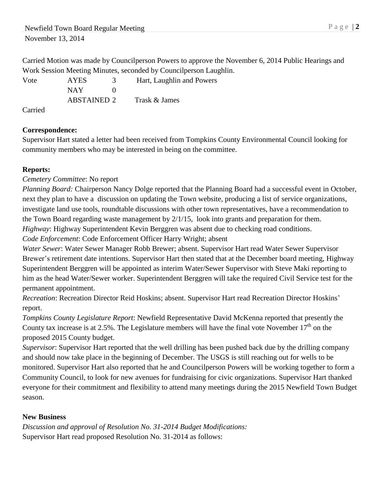Carried Motion was made by Councilperson Powers to approve the November 6, 2014 Public Hearings and Work Session Meeting Minutes, seconded by Councilperson Laughlin.

| Vote | <b>AYES</b>        | Hart, Laughlin and Powers |
|------|--------------------|---------------------------|
|      | <b>NAY</b>         |                           |
|      | <b>ABSTAINED 2</b> | Trask & James             |

Carried

#### **Correspondence:**

Supervisor Hart stated a letter had been received from Tompkins County Environmental Council looking for community members who may be interested in being on the committee.

## **Reports:**

*Cemetery Committee*: No report

*Planning Board:* Chairperson Nancy Dolge reported that the Planning Board had a successful event in October, next they plan to have a discussion on updating the Town website, producing a list of service organizations, investigate land use tools, roundtable discussions with other town representatives, have a recommendation to the Town Board regarding waste management by 2/1/15, look into grants and preparation for them. *Highway*: Highway Superintendent Kevin Berggren was absent due to checking road conditions. *Code Enforcement*: Code Enforcement Officer Harry Wright; absent

*Water Sewer*: Water Sewer Manager Robb Brewer; absent. Supervisor Hart read Water Sewer Supervisor Brewer's retirement date intentions. Supervisor Hart then stated that at the December board meeting, Highway Superintendent Berggren will be appointed as interim Water/Sewer Supervisor with Steve Maki reporting to him as the head Water/Sewer worker. Superintendent Berggren will take the required Civil Service test for the permanent appointment.

*Recreation*: Recreation Director Reid Hoskins; absent. Supervisor Hart read Recreation Director Hoskins' report.

*Tompkins County Legislature Report*: Newfield Representative David McKenna reported that presently the County tax increase is at 2.5%. The Legislature members will have the final vote November  $17<sup>th</sup>$  on the proposed 2015 County budget.

*Supervisor*: Supervisor Hart reported that the well drilling has been pushed back due by the drilling company and should now take place in the beginning of December. The USGS is still reaching out for wells to be monitored. Supervisor Hart also reported that he and Councilperson Powers will be working together to form a Community Council, to look for new avenues for fundraising for civic organizations. Supervisor Hart thanked everyone for their commitment and flexibility to attend many meetings during the 2015 Newfield Town Budget season.

## **New Business**

*Discussion and approval of Resolution No. 31-2014 Budget Modifications:*  Supervisor Hart read proposed Resolution No. 31-2014 as follows: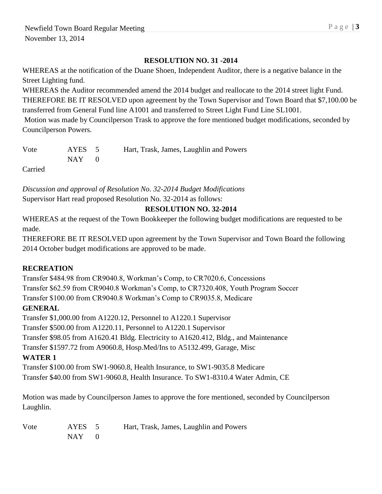## **RESOLUTION NO. 31 -2014**

WHEREAS at the notification of the Duane Shoen, Independent Auditor, there is a negative balance in the Street Lighting fund.

WHEREAS the Auditor recommended amend the 2014 budget and reallocate to the 2014 street light Fund. THEREFORE BE IT RESOLVED upon agreement by the Town Supervisor and Town Board that \$7,100.00 be transferred from General Fund line A1001 and transferred to Street Light Fund Line SL1001. Motion was made by Councilperson Trask to approve the fore mentioned budget modifications, seconded by

Councilperson Powers.

| Vote | AYES 5    | Hart, Trask, James, Laughlin and Powers |
|------|-----------|-----------------------------------------|
|      | $NAY = 0$ |                                         |

Carried

*Discussion and approval of Resolution No. 32-2014 Budget Modifications* Supervisor Hart read proposed Resolution No. 32-2014 as follows:

## **RESOLUTION NO. 32-2014**

WHEREAS at the request of the Town Bookkeeper the following budget modifications are requested to be made.

THEREFORE BE IT RESOLVED upon agreement by the Town Supervisor and Town Board the following 2014 October budget modifications are approved to be made.

## **RECREATION**

Transfer \$484.98 from CR9040.8, Workman's Comp, to CR7020.6, Concessions Transfer \$62.59 from CR9040.8 Workman's Comp, to CR7320.408, Youth Program Soccer Transfer \$100.00 from CR9040.8 Workman's Comp to CR9035.8, Medicare

## **GENERAL**

Transfer \$1,000.00 from A1220.12, Personnel to A1220.1 Supervisor

Transfer \$500.00 from A1220.11, Personnel to A1220.1 Supervisor

Transfer \$98.05 from A1620.41 Bldg. Electricity to A1620.412, Bldg., and Maintenance

Transfer \$1597.72 from A9060.8, Hosp.Med/Ins to A5132.499, Garage, Misc

## **WATER 1**

Transfer \$100.00 from SW1-9060.8, Health Insurance, to SW1-9035.8 Medicare Transfer \$40.00 from SW1-9060.8, Health Insurance. To SW1-8310.4 Water Admin, CE

Motion was made by Councilperson James to approve the fore mentioned, seconded by Councilperson Laughlin.

| Vote | AYES 5  | Hart, Trask, James, Laughlin and Powers |
|------|---------|-----------------------------------------|
|      | $NAY$ 0 |                                         |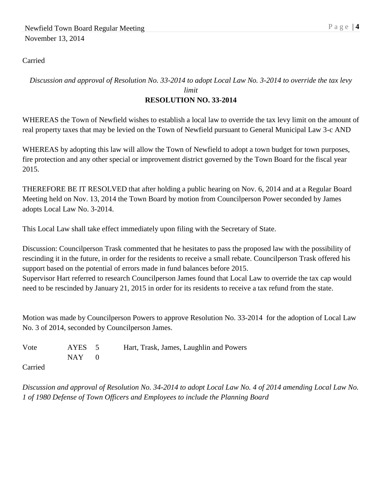Carried

# **RESOLUTION NO. 33-2014**

WHEREAS the Town of Newfield wishes to establish a local law to override the tax levy limit on the amount of real property taxes that may be levied on the Town of Newfield pursuant to General Municipal Law 3-c AND

WHEREAS by adopting this law will allow the Town of Newfield to adopt a town budget for town purposes, fire protection and any other special or improvement district governed by the Town Board for the fiscal year 2015.

THEREFORE BE IT RESOLVED that after holding a public hearing on Nov. 6, 2014 and at a Regular Board Meeting held on Nov. 13, 2014 the Town Board by motion from Councilperson Power seconded by James adopts Local Law No. 3-2014.

This Local Law shall take effect immediately upon filing with the Secretary of State.

Discussion: Councilperson Trask commented that he hesitates to pass the proposed law with the possibility of rescinding it in the future, in order for the residents to receive a small rebate. Councilperson Trask offered his support based on the potential of errors made in fund balances before 2015. Supervisor Hart referred to research Councilperson James found that Local Law to override the tax cap would need to be rescinded by January 21, 2015 in order for its residents to receive a tax refund from the state.

Motion was made by Councilperson Powers to approve Resolution No. 33-2014 for the adoption of Local Law No. 3 of 2014, seconded by Councilperson James.

| Vote | AYES 5     | Hart, Trask, James, Laughlin and Powers |
|------|------------|-----------------------------------------|
|      | $NAY \t 0$ |                                         |

Carried

*Discussion and approval of Resolution No. 34-2014 to adopt Local Law No. 4 of 2014 amending Local Law No. 1 of 1980 Defense of Town Officers and Employees to include the Planning Board*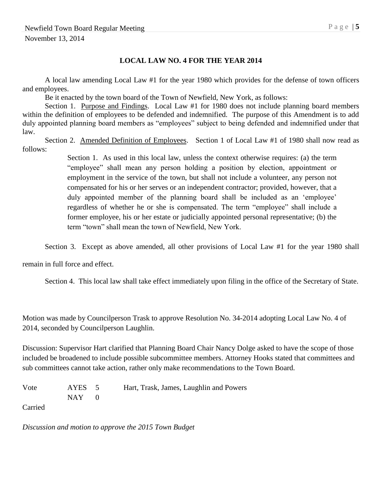#### **LOCAL LAW NO. 4 FOR THE YEAR 2014**

A local law amending Local Law #1 for the year 1980 which provides for the defense of town officers and employees.

Be it enacted by the town board of the Town of Newfield, New York, as follows:

Section 1. Purpose and Findings. Local Law #1 for 1980 does not include planning board members within the definition of employees to be defended and indemnified. The purpose of this Amendment is to add duly appointed planning board members as "employees" subject to being defended and indemnified under that law.

Section 2. Amended Definition of Employees. Section 1 of Local Law #1 of 1980 shall now read as follows:

> Section 1. As used in this local law, unless the context otherwise requires: (a) the term "employee" shall mean any person holding a position by election, appointment or employment in the service of the town, but shall not include a volunteer, any person not compensated for his or her serves or an independent contractor; provided, however, that a duly appointed member of the planning board shall be included as an 'employee' regardless of whether he or she is compensated. The term "employee" shall include a former employee, his or her estate or judicially appointed personal representative; (b) the term "town" shall mean the town of Newfield, New York.

Section 3. Except as above amended, all other provisions of Local Law #1 for the year 1980 shall

remain in full force and effect.

Section 4. This local law shall take effect immediately upon filing in the office of the Secretary of State.

Motion was made by Councilperson Trask to approve Resolution No. 34-2014 adopting Local Law No. 4 of 2014, seconded by Councilperson Laughlin.

Discussion: Supervisor Hart clarified that Planning Board Chair Nancy Dolge asked to have the scope of those included be broadened to include possible subcommittee members. Attorney Hooks stated that committees and sub committees cannot take action, rather only make recommendations to the Town Board.

Vote AYES 5 Hart, Trask, James, Laughlin and Powers  $NAY$  0

Carried

*Discussion and motion to approve the 2015 Town Budget*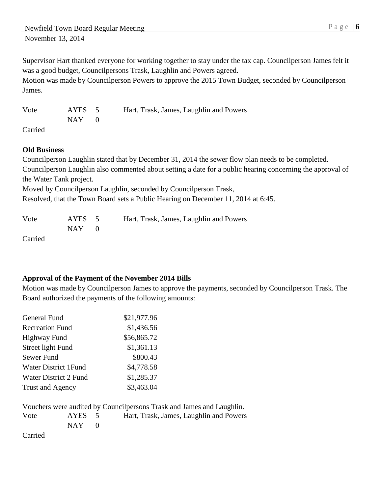Supervisor Hart thanked everyone for working together to stay under the tax cap. Councilperson James felt it was a good budget, Councilpersons Trask, Laughlin and Powers agreed. Motion was made by Councilperson Powers to approve the 2015 Town Budget, seconded by Councilperson James.

Vote AYES 5 Hart, Trask, James, Laughlin and Powers  $NAY$  0

Carried

## **Old Business**

Councilperson Laughlin stated that by December 31, 2014 the sewer flow plan needs to be completed.

Councilperson Laughlin also commented about setting a date for a public hearing concerning the approval of the Water Tank project.

Moved by Councilperson Laughlin, seconded by Councilperson Trask,

Resolved, that the Town Board sets a Public Hearing on December 11, 2014 at 6:45.

| Vote    | AYES 5    | Hart, Trask, James, Laughlin and Powers |
|---------|-----------|-----------------------------------------|
|         | $NAY = 0$ |                                         |
| Carried |           |                                         |

#### **Approval of the Payment of the November 2014 Bills**

Motion was made by Councilperson James to approve the payments, seconded by Councilperson Trask. The Board authorized the payments of the following amounts:

| General Fund                | \$21,977.96 |
|-----------------------------|-------------|
| <b>Recreation Fund</b>      | \$1,436.56  |
| <b>Highway Fund</b>         | \$56,865.72 |
| Street light Fund           | \$1,361.13  |
| Sewer Fund                  | \$800.43    |
| <b>Water District 1Fund</b> | \$4,778.58  |
| Water District 2 Fund       | \$1,285.37  |
| <b>Trust and Agency</b>     | \$3,463.04  |

Vouchers were audited by Councilpersons Trask and James and Laughlin.

| Vote    | AYES 5    | Hart, Trask, James, Laughlin and Powers |
|---------|-----------|-----------------------------------------|
|         | $NAY = 0$ |                                         |
| Carried |           |                                         |